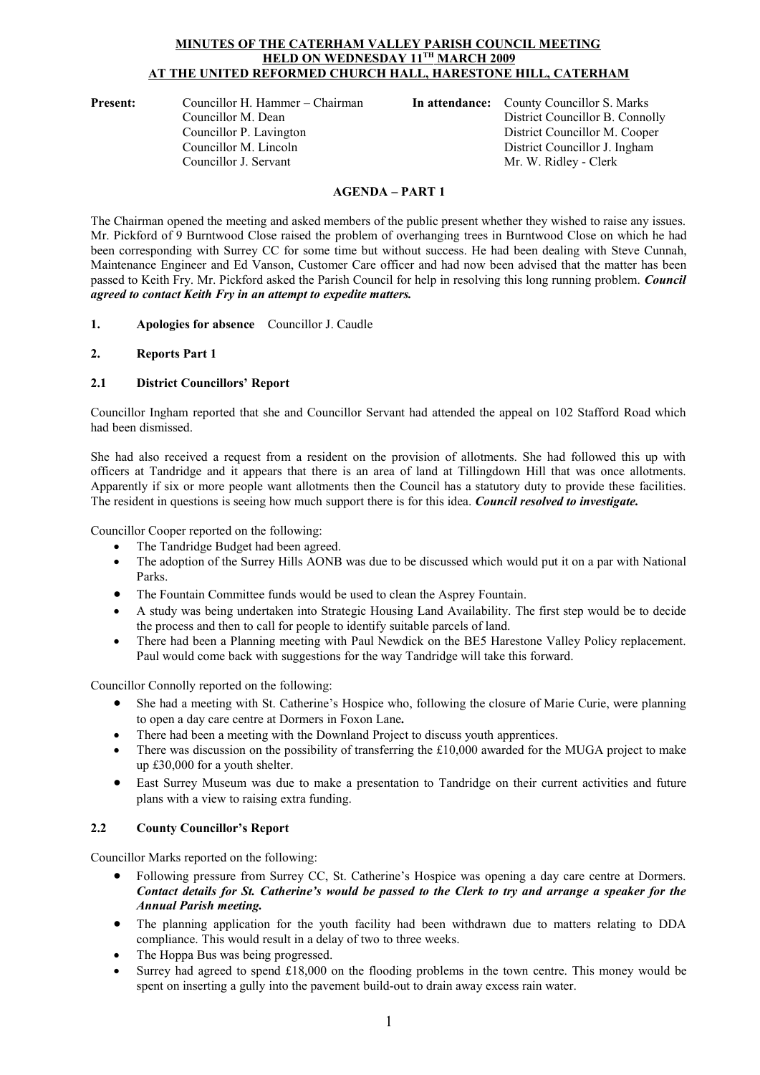# **MINUTES OF THE CATERHAM VALLEY PARISH COUNCIL MEETING HELD ON WEDNESDAY 11TH MARCH 2009 AT THE UNITED REFORMED CHURCH HALL, HARESTONE HILL, CATERHAM**

**Present:** Councillor H. Hammer – Chairman **In attendance:** County Councillor S. Marks<br>Councillor M. Dean District Councillor B. Conno Councillor P. Lavington District Councillor M. Cooper Councillor M. Lincoln District Councillor J. Ingham Councillor J. Servant Mr. W. Ridley - Clerk

District Councillor B. Connolly

# **AGENDA – PART 1**

The Chairman opened the meeting and asked members of the public present whether they wished to raise any issues. Mr. Pickford of 9 Burntwood Close raised the problem of overhanging trees in Burntwood Close on which he had been corresponding with Surrey CC for some time but without success. He had been dealing with Steve Cunnah, Maintenance Engineer and Ed Vanson, Customer Care officer and had now been advised that the matter has been passed to Keith Fry. Mr. Pickford asked the Parish Council for help in resolving this long running problem. *Council agreed to contact Keith Fry in an attempt to expedite matters.*

- **1. Apologies for absence** Councillor J. Caudle
- **2. Reports Part 1**

# **2.1 District Councillors' Report**

Councillor Ingham reported that she and Councillor Servant had attended the appeal on 102 Stafford Road which had been dismissed.

She had also received a request from a resident on the provision of allotments. She had followed this up with officers at Tandridge and it appears that there is an area of land at Tillingdown Hill that was once allotments. Apparently if six or more people want allotments then the Council has a statutory duty to provide these facilities. The resident in questions is seeing how much support there is for this idea. *Council resolved to investigate.*

Councillor Cooper reported on the following:

- The Tandridge Budget had been agreed.
- The adoption of the Surrey Hills AONB was due to be discussed which would put it on a par with National Parks.
- The Fountain Committee funds would be used to clean the Asprey Fountain.
- A study was being undertaken into Strategic Housing Land Availability. The first step would be to decide the process and then to call for people to identify suitable parcels of land.
- There had been a Planning meeting with Paul Newdick on the BE5 Harestone Valley Policy replacement. Paul would come back with suggestions for the way Tandridge will take this forward.

Councillor Connolly reported on the following:

- She had a meeting with St. Catherine's Hospice who, following the closure of Marie Curie, were planning to open a day care centre at Dormers in Foxon Lane*.*
- There had been a meeting with the Downland Project to discuss youth apprentices.
- There was discussion on the possibility of transferring the £10,000 awarded for the MUGA project to make up £30,000 for a youth shelter.
- East Surrey Museum was due to make a presentation to Tandridge on their current activities and future plans with a view to raising extra funding.

# **2.2 County Councillor's Report**

Councillor Marks reported on the following:

- Following pressure from Surrey CC, St. Catherine's Hospice was opening a day care centre at Dormers. *Contact details for St. Catherine's would be passed to the Clerk to try and arrange a speaker for the Annual Parish meeting.* The planning pressure from Surrey CC, St. Catherine's Hospice was opening a day care centre at Dormers.<br> **Contact details for St. Catherine's would be passed to the Clerk to try and arrange a speaker for the Annual Parish**
- compliance. This would result in a delay of two to three weeks.
- The Hoppa Bus was being progressed.
- Surrey had agreed to spend £18,000 on the flooding problems in the town centre. This money would be spent on inserting a gully into the pavement build-out to drain away excess rain water.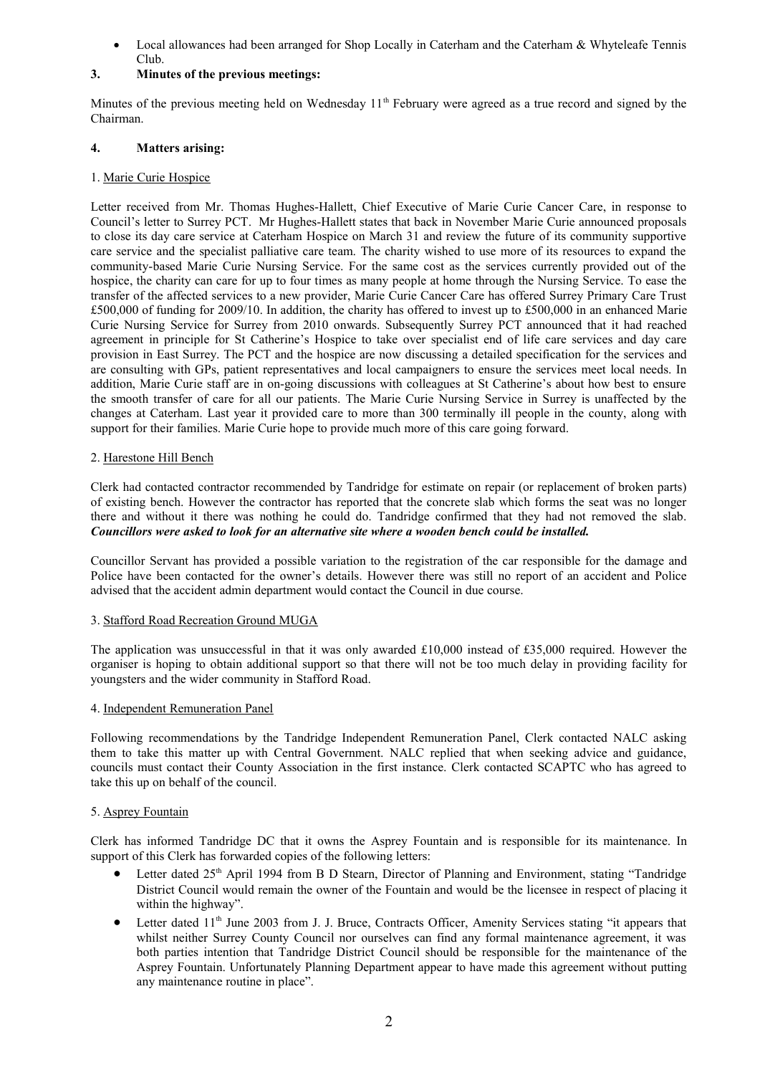Local allowances had been arranged for Shop Locally in Caterham and the Caterham & Whyteleafe Tennis Club.

# **3. Minutes of the previous meetings:**

Minutes of the previous meeting held on Wednesday  $11<sup>th</sup>$  February were agreed as a true record and signed by the Chairman.

# **4. Matters arising:**

# 1. Marie Curie Hospice

Letter received from Mr. Thomas Hughes-Hallett, Chief Executive of Marie Curie Cancer Care, in response to Council's letter to Surrey PCT. Mr Hughes-Hallett states that back in November Marie Curie announced proposals to close its day care service at Caterham Hospice on March 31 and review the future of its community supportive care service and the specialist palliative care team. The charity wished to use more of its resources to expand the community-based Marie Curie Nursing Service. For the same cost as the services currently provided out of the hospice, the charity can care for up to four times as many people at home through the Nursing Service. To ease the transfer of the affected services to a new provider, Marie Curie Cancer Care has offered Surrey Primary Care Trust £500,000 of funding for 2009/10. In addition, the charity has offered to invest up to £500,000 in an enhanced Marie Curie Nursing Service for Surrey from 2010 onwards. Subsequently Surrey PCT announced that it had reached agreement in principle for St Catherine's Hospice to take over specialist end of life care services and day care provision in East Surrey. The PCT and the hospice are now discussing a detailed specification for the services and are consulting with GPs, patient representatives and local campaigners to ensure the services meet local needs. In addition, Marie Curie staff are in on-going discussions with colleagues at St Catherine's about how best to ensure the smooth transfer of care for all our patients. The Marie Curie Nursing Service in Surrey is unaffected by the changes at Caterham. Last year it provided care to more than 300 terminally ill people in the county, along with support for their families. Marie Curie hope to provide much more of this care going forward.

# 2. Harestone Hill Bench

Clerk had contacted contractor recommended by Tandridge for estimate on repair (or replacement of broken parts) of existing bench. However the contractor has reported that the concrete slab which forms the seat was no longer there and without it there was nothing he could do. Tandridge confirmed that they had not removed the slab. *Councillors were asked to look for an alternative site where a wooden bench could be installed.*

Councillor Servant has provided a possible variation to the registration of the car responsible for the damage and Police have been contacted for the owner's details. However there was still no report of an accident and Police advised that the accident admin department would contact the Council in due course.

# 3. Stafford Road Recreation Ground MUGA

The application was unsuccessful in that it was only awarded £10,000 instead of £35,000 required. However the organiser is hoping to obtain additional support so that there will not be too much delay in providing facility for youngsters and the wider community in Stafford Road.

## 4. Independent Remuneration Panel

Following recommendations by the Tandridge Independent Remuneration Panel, Clerk contacted NALC asking youngsters and the wider community in Stafford Road.<br>4. <u>Independent Remuneration Panel</u><br>Following recommendations by the Tandridge Independent Remuneration Panel, Clerk contacted NALC asking<br>them to take this matter up wi councils must contact their County Association in the first instance. Clerk contacted SCAPTC who has agreed to take this up on behalf of the council.

## 5. Asprey Fountain

Clerk has informed Tandridge DC that it owns the Asprey Fountain and is responsible for its maintenance. In support of this Clerk has forwarded copies of the following letters:

- Letter dated 25<sup>th</sup> April 1994 from B D Stearn, Director of Planning and Environment, stating "Tandridge District Council would remain the owner of the Fountain and would be the licensee in respect of placing it within the highway".
- Letter dated 11<sup>th</sup> June 2003 from J. J. Bruce, Contracts Officer, Amenity Services stating "it appears that whilst neither Surrey County Council nor ourselves can find any formal maintenance agreement, it was both parties intention that Tandridge District Council should be responsible for the maintenance of the Asprey Fountain. Unfortunately Planning Department appear to have made this agreement without putting any maintenance routine in place".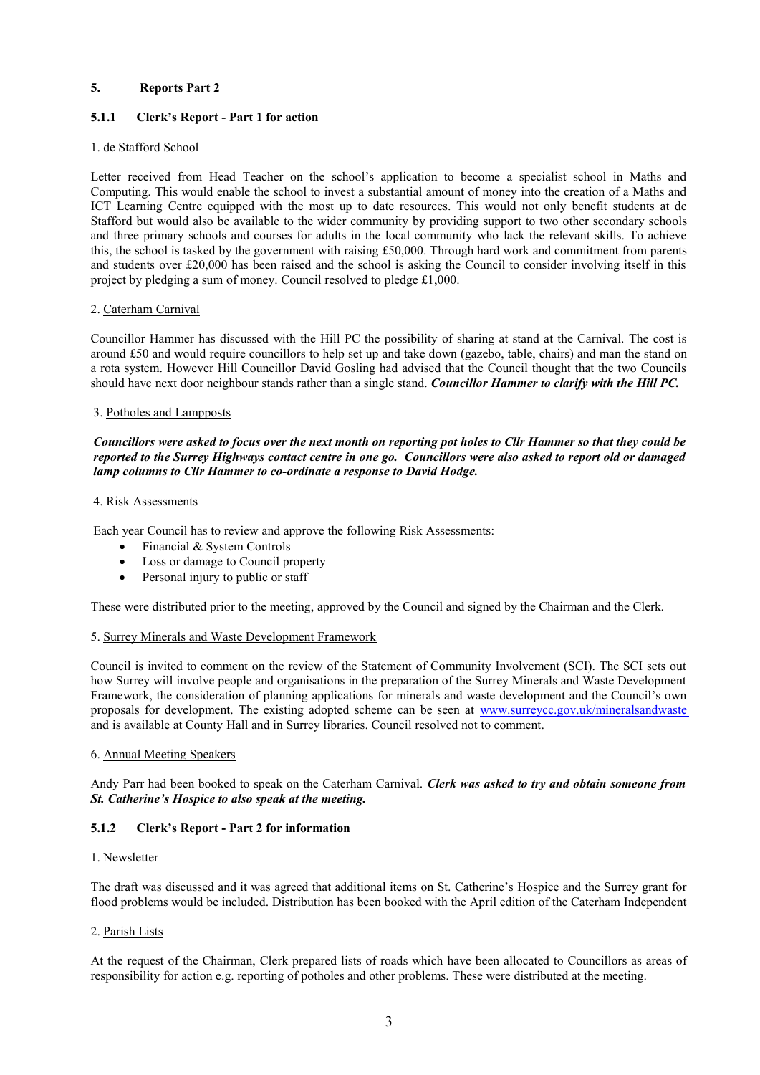# **5. Reports Part 2**

# **5.1.1 Clerk's Report - Part 1 for action**

#### 1. de Stafford School

5.1.1 Clerk's Report - Part 1 for action<br>
1. <u>de Stafford School</u><br>
Letter received from Head Teacher on the school's application to become a specialist school in Maths and<br>
Computing. This would enable the school to invest ICT Learning Centre equipped with the most up to date resources. This would not only benefit students at de Stafford but would also be available to the wider community by providing support to two other secondary schools and three primary schools and courses for adults in the local community who lack the relevant skills. To achieve this, the school is tasked by the government with raising £50,000. Through hard work and commitment from parents and students over £20,000 has been raised and the school is asking the Council to consider involving itself in this project by pledging a sum of money. Council resolved to pledge £1,000.

#### 2. Caterham Carnival

Councillor Hammer has discussed with the Hill PC the possibility of sharing at stand at the Carnival. The cost is around £50 and would require councillors to help set up and take down (gazebo, table, chairs) and man the stand on a rota system. However Hill Councillor David Gosling had advised that the Council thought that the two Councils should have next door neighbour stands rather than a single stand. *Councillor Hammer to clarify with the Hill PC.*

#### 3. Potholes and Lampposts

*Councillors were asked to focus over the next month on reporting pot holes to Cllr Hammer so that they could be reported to the Surrey Highways contact centre in one go. Councillors were also asked to report old or damaged lamp columns to Cllr Hammer to co-ordinate a response to David Hodge.*

#### 4. Risk Assessments

Each year Council has to review and approve the following Risk Assessments:

- Financial & System Controls
- Loss or damage to Council property
- Personal injury to public or staff

These were distributed prior to the meeting, approved by the Council and signed by the Chairman and the Clerk.

#### 5. Surrey Minerals and Waste Development Framework

Council is invited to comment on the review of the Statement of Community Involvement (SCI). The SCI sets out how Surrey will involve people and organisations in the preparation of the Surrey Minerals and Waste Development Framework, the consideration of planning applications for minerals and waste development and the Council's own proposals for development. The existing adopted scheme can be seen at www.surreycc.gov.uk/mineralsandwaste and is available at County Hall and in Surrey libraries. Council resolved not to comment.

#### 6. Annual Meeting Speakers

## Andy Parr had been booked to speak on the Caterham Carnival. *Clerk was asked to try and obtain someone from St. Catherine's Hospice to also speak at the meeting.*

## **5.1.2 Clerk's Report - Part 2 for information**

#### 1. Newsletter

The draft was discussed and it was agreed that additional items on St. Catherine's Hospice and the Surrey grant for flood problems would be included. Distribution has been booked with the April edition of the Caterham Independent

# 2. Parish Lists

At the request of the Chairman, Clerk prepared lists of roads which have been allocated to Councillors as areas of responsibility for action e.g. reporting of potholes and other problems. These were distributed at the meeting.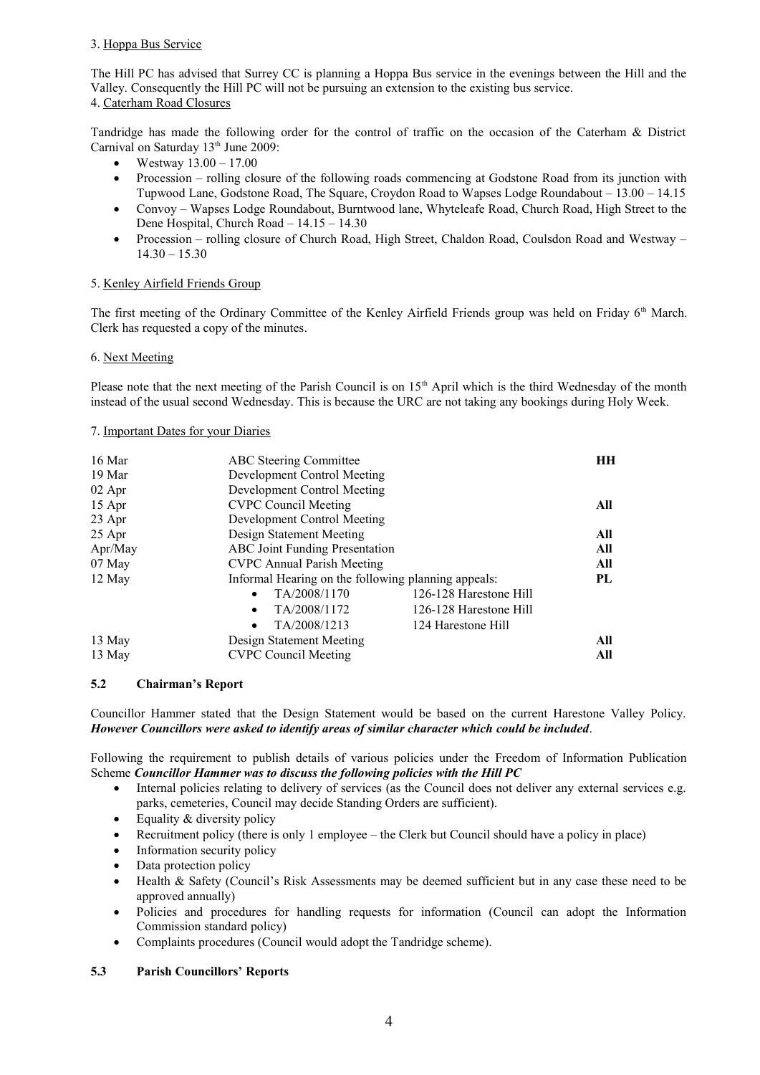# 3. Hoppa Bus Service

The Hill PC has advised that Surrey CC is planning a Hoppa Bus service in the evenings between the Hill and the Valley. Consequently the Hill PC will not be pursuing an extension to the existing bus service. 4. Caterham Road Closures

Tandridge has made the following order for the control of traffic on the occasion of the Caterham & District Carnival on Saturday 13<sup>th</sup> June 2009:

- Westway 13.00 17.00
- Procession rolling closure of the following roads commencing at Godstone Road from its junction with Tupwood Lane, Godstone Road, The Square, Croydon Road to Wapses Lodge Roundabout – 13.00 – 14.15
- Convoy Wapses Lodge Roundabout, Burntwood lane, Whyteleafe Road, Church Road, High Street to the Dene Hospital, Church Road – 14.15 – 14.30
- Procession rolling closure of Church Road, High Street, Chaldon Road, Coulsdon Road and Westway  $14.30 - 15.30$

# 5. Kenley Airfield Friends Group

The first meeting of the Ordinary Committee of the Kenley Airfield Friends group was held on Friday 6<sup>th</sup> March. Clerk has requested a copy of the minutes.

## 6. Next Meeting

Please note that the next meeting of the Parish Council is on  $15<sup>th</sup>$  April which is the third Wednesday of the month instead of the usual second Wednesday. This is because the URC are not taking any bookings during Holy Week.

# 7. Important Dates for your Diaries

| 16 Mar   | <b>ABC</b> Steering Committee                       |                        | HН  |
|----------|-----------------------------------------------------|------------------------|-----|
| 19 Mar   | Development Control Meeting                         |                        |     |
| $02$ Apr | Development Control Meeting                         |                        |     |
| 15 Apr   | <b>CVPC Council Meeting</b>                         |                        | All |
| 23 Apr   | Development Control Meeting                         |                        |     |
| 25 Apr   | Design Statement Meeting                            |                        | All |
| Apr/May  | ABC Joint Funding Presentation                      |                        | All |
| 07 May   | <b>CVPC</b> Annual Parish Meeting                   |                        | All |
| 12 May   | Informal Hearing on the following planning appeals: |                        | PL  |
|          | TA/2008/1170<br>$\bullet$                           | 126-128 Harestone Hill |     |
|          | TA/2008/1172<br>$\bullet$                           | 126-128 Harestone Hill |     |
|          | TA/2008/1213<br>$\bullet$                           | 124 Harestone Hill     |     |
| 13 May   | Design Statement Meeting                            |                        | All |
| 13 May   | <b>CVPC Council Meeting</b>                         |                        | All |

## **5.2 Chairman's Report**

Councillor Hammer stated that the Design Statement would be based on the current Harestone Valley Policy. *However Councillors were asked to identify areas of similar character which could be included*.

Following the requirement to publish details of various policies under the Freedom of Information Publication Scheme *Councillor Hammer was to discuss the following policies with the Hill PC*

- Internal policies relating to delivery of services (as the Council does not deliver any external services e.g. parks, cemeteries, Council may decide Standing Orders are sufficient).
- $\bullet$  Equality & diversity policy
- Recruitment policy (there is only 1 employee the Clerk but Council should have a policy in place)
- Information security policy
- Data protection policy
- Health & Safety (Council's Risk Assessments may be deemed sufficient but in any case these need to be approved annually)
- Policies and procedures for handling requests for information (Council can adopt the Information Commission standard policy)<br>• Complaints procedures (Council would adopt the Tandridge scheme) Commission standard policy)
- Complaints procedures (Council would adopt the Tandridge scheme).

# **5.3 Parish Councillors' Reports**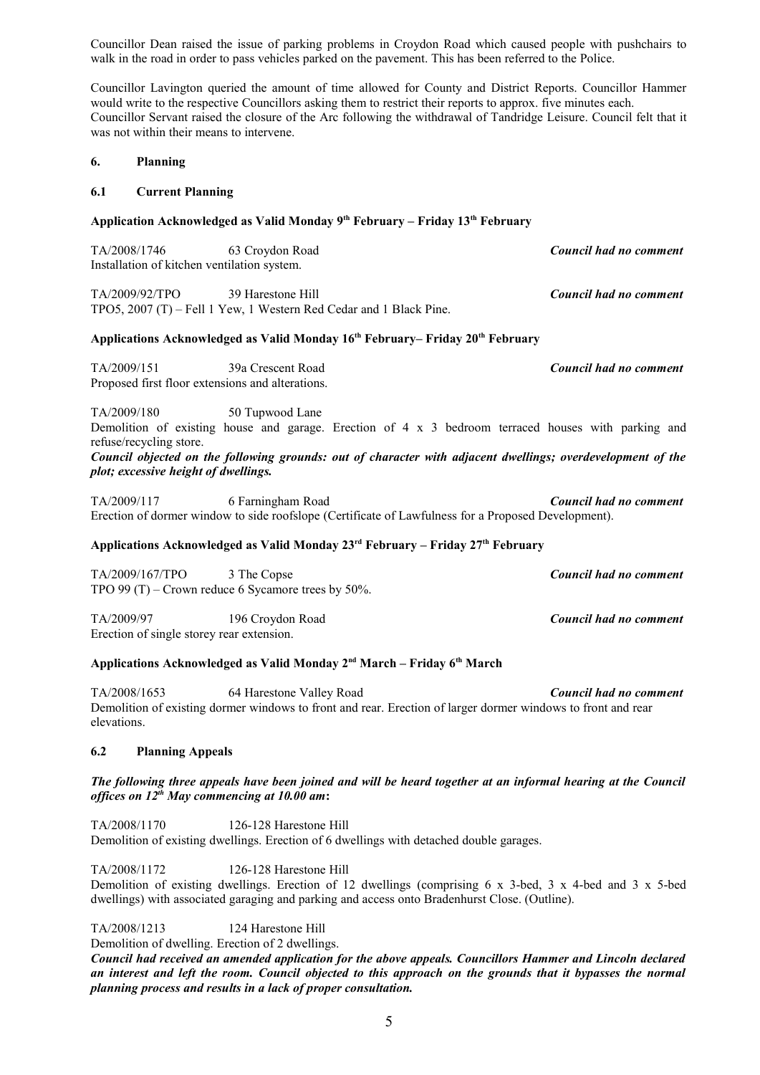Councillor Dean raised the issue of parking problems in Croydon Road which caused people with pushchairs to walk in the road in order to pass vehicles parked on the pavement. This has been referred to the Police.

Councillor Lavington queried the amount of time allowed for County and District Reports. Councillor Hammer would write to the respective Councillors asking them to restrict their reports to approx. five minutes each. Councillor Servant raised the closure of the Arc following the withdrawal of Tandridge Leisure. Council felt that it was not within their means to intervene.

### **6. Planning**

#### **6.1 Current Planning**

#### **Application Acknowledged as Valid Monday 9th February – Friday 13th February**

| TA/2008/1746                                | 63 Croydon Road | Council had no comment |
|---------------------------------------------|-----------------|------------------------|
| Installation of kitchen ventilation system. |                 |                        |

TA/2009/92/TPO 39 Harestone Hill *Council had no comment* TPO5, 2007 (T) – Fell 1 Yew, 1 Western Red Cedar and 1 Black Pine.

#### **Applications Acknowledged as Valid Monday 16th February– Friday 20th February**

TA/2009/151 39a Crescent Road *Council had no comment* Proposed first floor extensions and alterations.

TA/2009/180 50 Tupwood Lane

Demolition of existing house and garage. Erection of  $4 \times 3$  bedroom terraced houses with parking and refuse/recycling store.

*Council objected on the following grounds: out of character with adjacent dwellings; overdevelopment of the plot; excessive height of dwellings.*

TA/2009/117 6 Farningham Road *Council had no comment* Erection of dormer window to side roofslope (Certificate of Lawfulness for a Proposed Development).

# **Applications Acknowledged as Valid Monday 23rd February – Friday 27th February**

| TA/2009/167/TPO                                      | 3 The Copse      | Council had no comment |  |  |
|------------------------------------------------------|------------------|------------------------|--|--|
| TPO 99 $(T)$ – Crown reduce 6 Sycamore trees by 50%. |                  |                        |  |  |
| TA/2009/97                                           | 196 Croydon Road | Council had no comment |  |  |
| Erection of single storey rear extension.            |                  |                        |  |  |

# **Applications Acknowledged as Valid Monday 2nd March – Friday 6th March**

TA/2008/1653 64 Harestone Valley Road *Council had no comment* Demolition of existing dormer windows to front and rear. Erection of larger dormer windows to front and rear elevations.

## **6.2 Planning Appeals**

## *The following three appeals have been joined and will be heard together at an informal hearing at the Council offices on 12th May commencing at 10.00 am***:**

TA/2008/1170 126-128 Harestone Hill Demolition of existing dwellings. Erection of 6 dwellings with detached double garages.

TA/2008/1172 126-128 Harestone Hill

Demolition of existing dwellings. Erection of 12 dwellings (comprising 6 x 3-bed, 3 x 4-bed and 3 x 5-bed dwellings) with associated garaging and parking and access onto Bradenhurst Close. (Outline).

TA/2008/1213 124 Harestone Hill

Demolition of dwelling. Erection of 2 dwellings.

*Council had received an amended application for the above appeals. Councillors Hammer and Lincoln declared an interest and left the room. Council objected to this approach on the grounds that it bypasses the normal planning process and results in a lack of proper consultation.*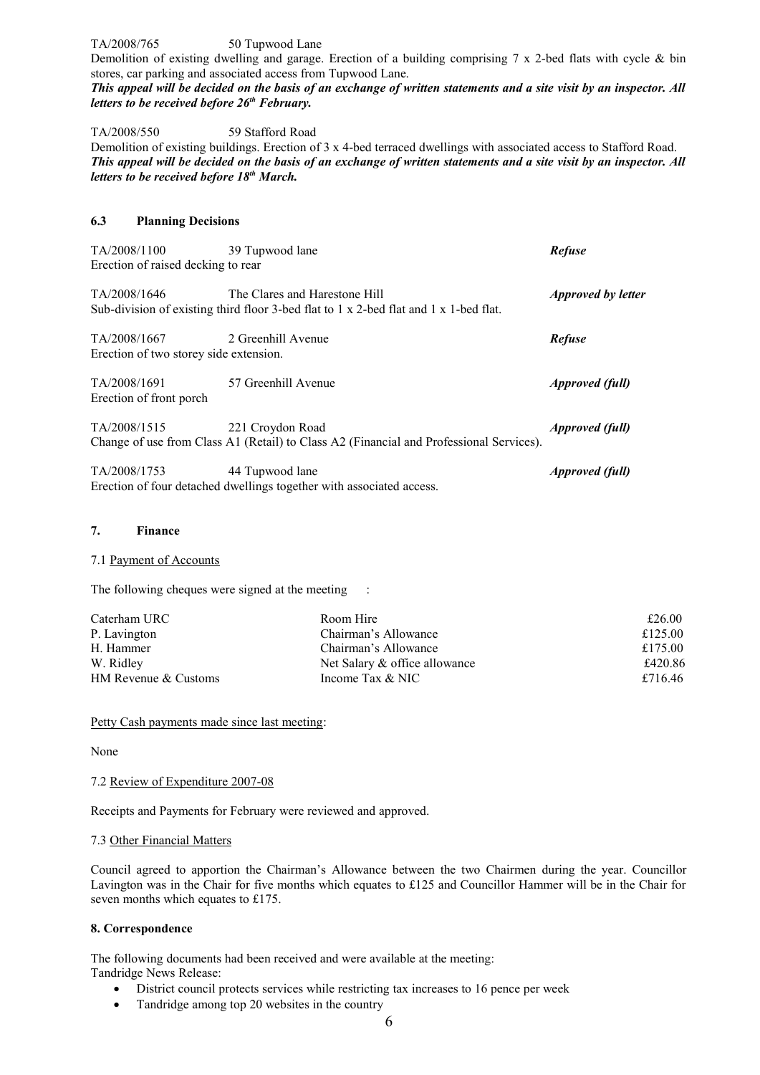TA/2008/765 50 Tupwood Lane

Demolition of existing dwelling and garage. Erection of a building comprising 7 x 2-bed flats with cycle & bin stores, car parking and associated access from Tupwood Lane.

*This appeal will be decided on the basis of an exchange of written statements and a site visit by an inspector. All letters to be received before 26th February.*

TA/2008/550 59 Stafford Road

Demolition of existing buildings. Erection of 3 x 4-bed terraced dwellings with associated access to Stafford Road. *This appeal will be decided on the basis of an exchange of written statements and a site visit by an inspector. All letters to be received before 18th March.*

# **6.3 Planning Decisions**

| TA/2008/1100<br>Erection of raised decking to rear     | 39 Tupwood lane                                                                                                        | <b>Refuse</b>             |
|--------------------------------------------------------|------------------------------------------------------------------------------------------------------------------------|---------------------------|
| TA/2008/1646                                           | The Clares and Harestone Hill<br>Sub-division of existing third floor 3-bed flat to 1 x 2-bed flat and 1 x 1-bed flat. | <i>Approved by letter</i> |
| TA/2008/1667<br>Erection of two storey side extension. | 2 Greenhill Avenue                                                                                                     | <b>Refuse</b>             |
| TA/2008/1691<br>Erection of front porch.               | 57 Greenhill Avenue                                                                                                    | <b>Approved</b> (full)    |
| TA/2008/1515                                           | 221 Croydon Road<br>Change of use from Class A1 (Retail) to Class A2 (Financial and Professional Services).            | <i>Approved (full)</i>    |
| TA/2008/1753                                           | 44 Tupwood lane<br>Erection of four detached dwellings together with associated access.                                | <i>Approved (full)</i>    |

#### **7. Finance**

#### 7.1 Payment of Accounts

The following cheques were signed at the meeting :

| Caterham URC         | Room Hire                     | £26.00  |
|----------------------|-------------------------------|---------|
| P. Lavington         | Chairman's Allowance          | £125.00 |
| H. Hammer            | Chairman's Allowance          | £175.00 |
| W. Ridley            | Net Salary & office allowance | £420.86 |
| HM Revenue & Customs | Income Tax & NIC              | £716.46 |

Petty Cash payments made since last meeting:

None

## 7.2 Review of Expenditure 2007-08

Receipts and Payments for February were reviewed and approved.

#### 7.3 Other Financial Matters

Council agreed to apportion the Chairman's Allowance between the two Chairmen during the year. Councillor Lavington was in the Chair for five months which equates to £125 and Councillor Hammer will be in the Chair for seven months which equates to £175.

# **8. Correspondence**

The following documents had been received and were available at the meeting: Tandridge News Release:

- District council protects services while restricting tax increases to 16 pence per week
- Tandridge among top 20 websites in the country